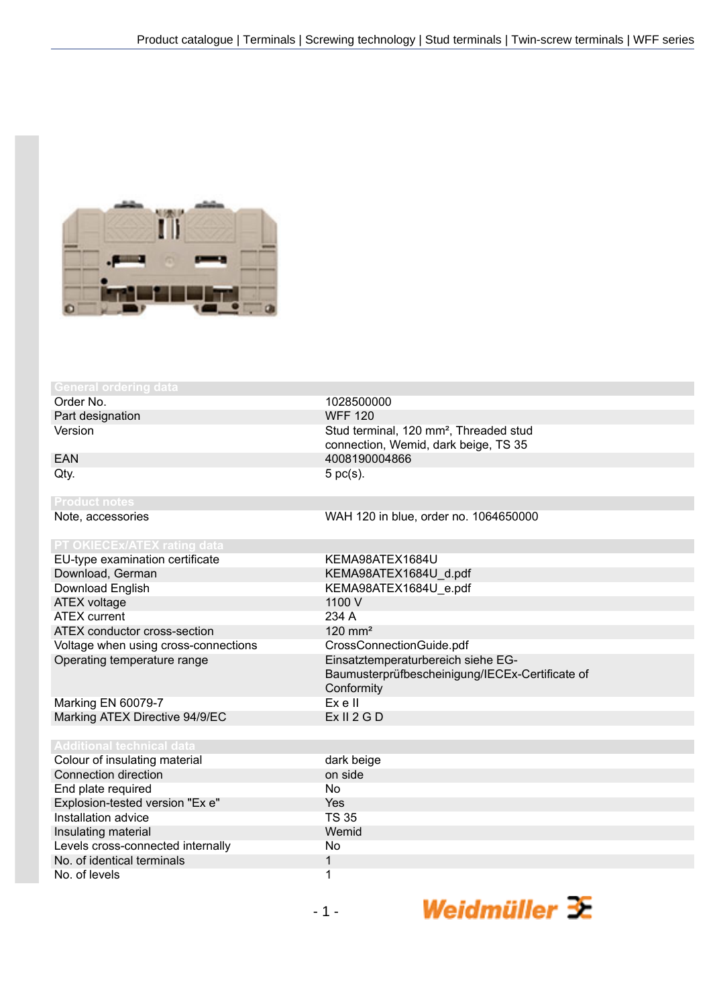

Order No. 1028500000<br>
Part designation and the contract of the CONDINEY MEE 120 Part designation

EU-type examination certificate KEMA98ATEX1684U Download, German KEMA98ATEX1684U\_d.pdf<br>Download English KEMA98ATEX1684U e.pdf ATEX voltage 1100 V ATEX current 234 A ATEX conductor cross-section 120 mm<sup>2</sup> Voltage when using cross-connections CrossConnectionGuide.pdf Operating temperature range Einsatztemperaturbereich siehe EG-

Marking EN 60079-7 Ex e II Marking ATEX Directive 94/9/EC

Colour of insulating Connection direction End plate required Explosion-tested Installation advice Insulating material Levels cross-connected No. of identical terminals No. of levels 1

Version **Stud terminal, 120 mm<sup>2</sup>, Threaded stud** Stud terminal, 120 mm<sup>2</sup>, Threaded stud connection, Wemid, dark beige, TS 35 EAN 4008190004866  $Qty.$  5 pc(s).

Note, accessories WAH 120 in blue, order no. 1064650000

KEMA98ATEX1684U\_e.pdf Baumusterprüfbescheinigung/IECEx-Certificate of Conformity<br>Ex e II

| ical data         |              |
|-------------------|--------------|
| าg material       | dark beige   |
| ion               | on side      |
| d                 | No           |
| version "Ex e"    | Yes          |
|                   | <b>TS 35</b> |
|                   | Wemid        |
| nected internally | No.          |
| rminals           |              |
|                   | 1            |

Weidmüller 3E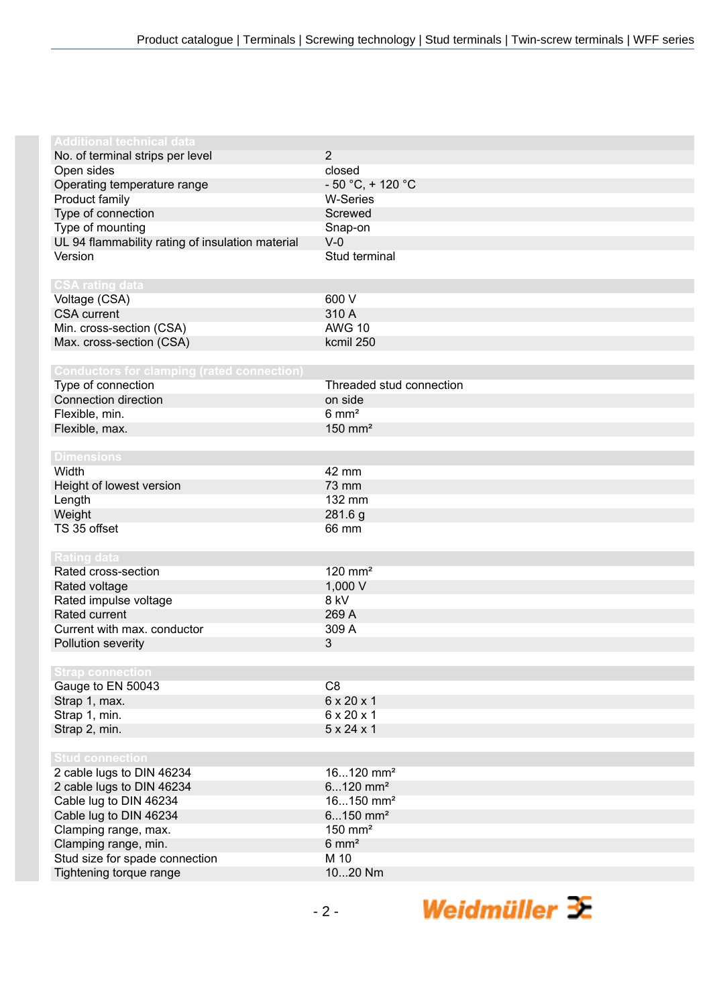| <b>Additional technical data</b>                  |                          |
|---------------------------------------------------|--------------------------|
| No. of terminal strips per level                  | $\overline{2}$           |
| Open sides                                        | closed                   |
| Operating temperature range                       | $-50 °C$ , + 120 °C      |
|                                                   |                          |
| Product family                                    | <b>W-Series</b>          |
| Type of connection                                | Screwed                  |
| Type of mounting                                  | Snap-on                  |
| UL 94 flammability rating of insulation material  | $V-0$                    |
| Version                                           | Stud terminal            |
|                                                   |                          |
| <b>CSA rating data</b>                            |                          |
| Voltage (CSA)                                     | 600 V                    |
| <b>CSA current</b>                                | 310 A                    |
| Min. cross-section (CSA)                          | <b>AWG 10</b>            |
| Max. cross-section (CSA)                          | kcmil 250                |
|                                                   |                          |
| <b>Conductors for clamping (rated connection)</b> |                          |
| Type of connection                                | Threaded stud connection |
| Connection direction                              | on side                  |
| Flexible, min.                                    | $6 \text{ mm}^2$         |
| Flexible, max.                                    | $150$ mm <sup>2</sup>    |
|                                                   |                          |
| <b>Dimensions</b>                                 |                          |
| Width                                             | 42 mm                    |
| Height of lowest version                          | 73 mm                    |
| Length                                            | 132 mm                   |
| Weight                                            | 281.6 g                  |
| TS 35 offset                                      | 66 mm                    |
|                                                   |                          |
| <b>Rating data</b>                                |                          |
| Rated cross-section                               | $120$ mm <sup>2</sup>    |
| Rated voltage                                     | 1,000 V                  |
| Rated impulse voltage                             | 8 kV                     |
| Rated current                                     | 269 A                    |
| Current with max. conductor                       | 309 A                    |
| Pollution severity                                | 3                        |
|                                                   |                          |
| <b>Strap connection</b>                           |                          |
| Gauge to EN 50043                                 | C <sub>8</sub>           |
|                                                   | 6 x 20 x 1               |
| Strap 1, max.                                     | 6 x 20 x 1               |
| Strap 1, min.                                     |                          |
| Strap 2, min.                                     | $5 \times 24 \times 1$   |
|                                                   |                          |
| <b>Stud connection</b>                            |                          |
| 2 cable lugs to DIN 46234                         | $16120$ mm <sup>2</sup>  |
| 2 cable lugs to DIN 46234                         | $6120$ mm <sup>2</sup>   |
| Cable lug to DIN 46234                            | $16150$ mm <sup>2</sup>  |
| Cable lug to DIN 46234                            | $6150$ mm <sup>2</sup>   |
| Clamping range, max.                              | $150$ mm <sup>2</sup>    |
| Clamping range, min.                              | $6 \text{ mm}^2$         |
| Stud size for spade connection                    | M 10                     |
| Tightening torque range                           | 1020 Nm                  |

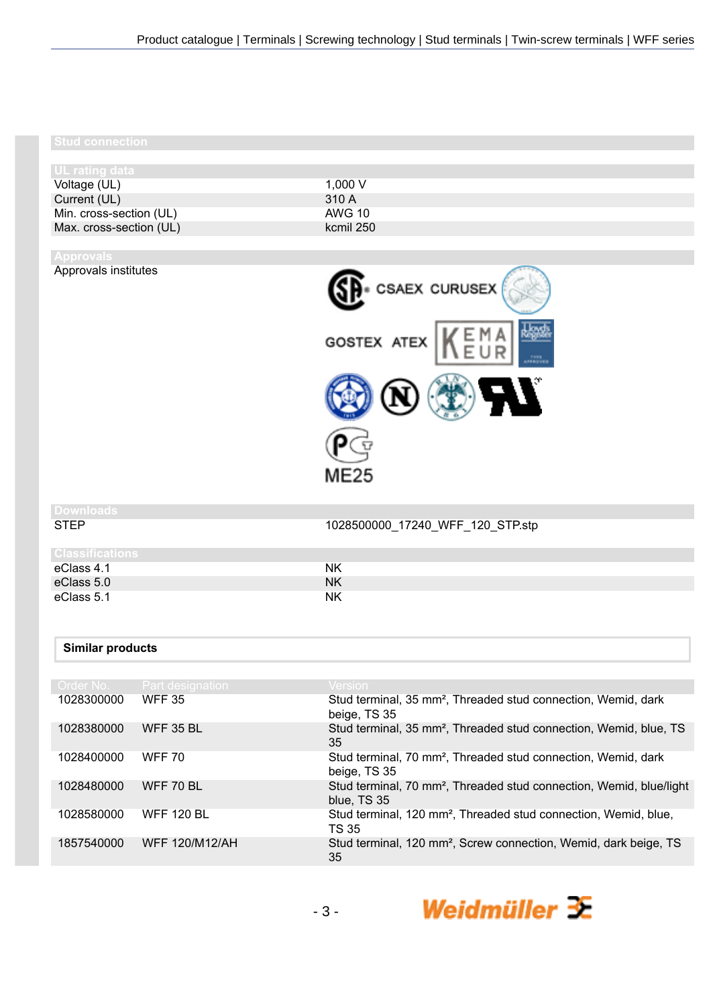# **Stud connection**

| 1,000 $V$ |
|-----------|
| 310A      |
| AWG 10    |
| kcmil 250 |
|           |

# Approvals institutes



**Downloads**

1028500000\_17240\_WFF\_120\_STP.stp

| Classifications_ |    |
|------------------|----|
| eClass 4.1       | NΚ |
| eClass 5.0       | NΚ |
| eClass 5.1       | NΚ |

## **Similar products**

| Order No.  | Part designation      | <b>Version</b>                                                                                 |
|------------|-----------------------|------------------------------------------------------------------------------------------------|
| 1028300000 | <b>WFF 35</b>         | Stud terminal, 35 mm <sup>2</sup> , Threaded stud connection, Wemid, dark<br>beige, TS 35      |
| 1028380000 | <b>WFF 35 BL</b>      | Stud terminal, 35 mm <sup>2</sup> , Threaded stud connection, Wemid, blue, TS<br>35            |
| 1028400000 | <b>WFF 70</b>         | Stud terminal, 70 mm <sup>2</sup> , Threaded stud connection, Wemid, dark<br>beige, TS 35      |
| 1028480000 | WFF 70 BL             | Stud terminal, 70 mm <sup>2</sup> , Threaded stud connection, Wemid, blue/light<br>blue, TS 35 |
| 1028580000 | <b>WFF 120 BL</b>     | Stud terminal, 120 mm <sup>2</sup> , Threaded stud connection, Wemid, blue,<br><b>TS 35</b>    |
| 1857540000 | <b>WFF 120/M12/AH</b> | Stud terminal, 120 mm <sup>2</sup> , Screw connection, Wemid, dark beige, TS<br>35             |